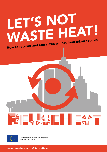# LET'S NOT WASTE HEAT! How to recover and reuse excess heat from urban sources





Co-funded by the Horizon 2020 programme of the European Union

www.reuseheat.eu @ReUseHeat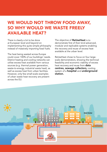# WE WOULD NOT THROW FOOD AWAY, SO WHY WOULD WE WASTE FREELY AVAILABLE HEAT?

There is clearly a lot to be done at European level and beyond on implementing this quite simple philosophy instead of massively importing fossil fuels.

The heat being wasted across Europe could cover 100% of our buildings' needs. District heating and cooling networks can utilise excess heat available from various sources (e.g. thermal power generation, waste-to-energy, industrial waste heat), as well as excess heat from urban facilities. However, only few small-scale examples of urban waste heat recovery are present across the EU.

The objective of ReUseHeat is to demonstrate first of their kind advanced, modular and replicable systems enabling the recovery and reuse of excess heat available at the urban level.

ReUseHeat chose to focus on four largescale demonstrators, showing the technical feasibility and economic viability of excess heat recovery and reuse from **data** centres, sewage collectors, cooling system of a **hospital** and **underground** station.

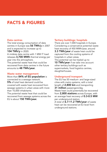# FACTS & FIGURES

#### Data centres

The total energy consumption of data centres in Europe was 56 TWh/y in 2007 and is expected to increase up to 104 TWh/y in 2020.

A midsize data centre with 1 MW IT load releases 3,700 MWh thermal energy per year into the atmosphere.

The potential waste heat that could be recovered from data centres in the future amounts to 48 TWh/year.

#### Waste water management

More than 84% of EU population is connected to a sewage network. 5% of total heat demand could be covered with waste heat recovered from sewage systems in urban areas with more than 10,000 inhabitants.

The potential waste heat that could be recovered from sewage systems across the EU is about 150 TWh/year.

#### Tertiary buildings: hospitals

There are over 7,000 hospitals in Europe. Considering a conservative potential waste heat recovery of 450 MWh/year, around **3.3 TWh/year** of waste heat could be captured from the cooling systems of hospitals in urban areas.

This potential can be tripled up to **10 TWh/vear** if we take into account other tertiary buildings such as supermarkets, food logistics centres, slaughterhouses.

#### Underground transport

The EU has 50 medium- and large-sized cities with metro systems, with a total length of  $2,800$  km and transporting 31 million passengers/day. Waste heat could potentially be recovered from 2,800 stations across Europe, with an average heat recovery of 0.3-0.5 MW per underground station. A total of 6.7-11.2 TWh/year of waste heat can be recovered at EU level from underground stations.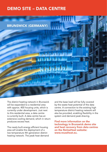## DEMO SITE – DATA CENTRE



The district heating network in Brunswick will be expanded to a residential area with approx. 400 housing units, which is currently under development. Just next to this residential area, a data centre is currently built. A data centre has an extensive cooling demand, which in return produces excess heat.

The newly built energy efficient housing area will enable the deployment of a low temperature 4th generation district heating network. The peak heat demand and the base load will be fully covered by the waste heat potential of the data centre. A connection to the existing high temperature district heating network will also be provided, enabling flexibility in the system and demand peak shaving.

Find more information on the technology in Brunswick demo site and heat recovery from data centres on the ReUseHeat website: www.reuseheat.eu.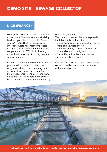## NICE (FRANCE)

Metropolis Nice Côte d'Azur has decided to become a front-runner in sustainability by developing the project "Nice Grand Arenas". ReUseHeat will showcase its innovative waste heat recovery process to serve a neighbourhood through a low temperature (15-25°C) district heating network with waste heat coming from the sewage system.

In order to promote this solution, a Cockpit planner will be set up. This dashboard will gather all real time monitoring data at district level to map all power flux (from heat source to end-users) and CO2 emissions. This will enable inhabitants to be informed in real-time about the energy

source they are using.

The control system will be able to provide the following key information:

- Energy balance of the district showing the share of renewable energy
- Source of energy used as a function of time and optimal configuration
- Societal benefits arising from energy solidarity between users

If successful, each waste heat based heating system could be equipped in the future with such a dashboard.



More information is available on the ReUseHeat website: www.reuseheat.eu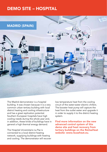## DEMO SITE – HOSPITAL



The Madrid demonstrator is a hospital building. It was chosen because it is a very common urban tertiary building with local district heating and cooling infrastructure and has a great replication potential. Southern European hospitals have high cooling needs during the whole year and, in addition, these kinds of buildings have in general a high thermal energy demand.

The Hospital Universitario La Paz is connected to a local district heating network, supplying buildings with heating and cooling. The demonstrator will recover low temperature heat from the cooling circuit of the water-water electric chillers. The booster heat pump will capture the heat from the outlet water and upgrade it in order to supply it to the district heating system.

Find more information on the new advanced control system of this demo site and heat recovery from tertiary buildings on the ReUseHeat website: www.reuseheat.eu.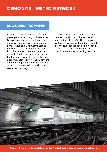#### BUCHAREST (ROMANIA)

In order to ensure thermal comfort for passengers and working staff, waste heat is a concern in underground transport systems. The Bucharest metro operator aims to develop an innovative heating network that can recover the waste heat from the ventilation system of the metro network. The heat will either be used in the Bucharest district heating network or a separate heat supply network. Both the underground platform area and the area around the station will be used for the waste heat recovery.

The waste heat source is the underground ventilation shaft in a station with an air temperature of 15-27°C. Heat pumps will capture this excess heat and then upgrade it to the level needed for district heating (75-90°C). The heat can then be fed directly into the district heating network.



More information is available on the ReUseHeat website: www.reuseheat.eu